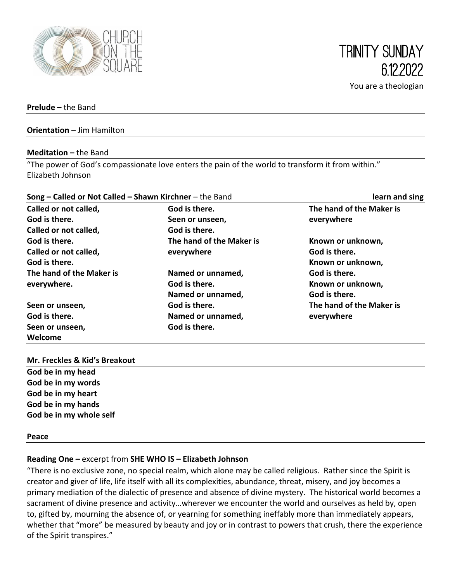

**Prelude** – the Band

#### **Orientation** – Jim Hamilton

#### **Meditation –** the Band

"The power of God's compassionate love enters the pain of the world to transform it from within." Elizabeth Johnson

| Song - Called or Not Called - Shawn Kirchner - the Band |                          | learn and sing           |  |
|---------------------------------------------------------|--------------------------|--------------------------|--|
| Called or not called,                                   | God is there.            | The hand of the Maker is |  |
| God is there.                                           | Seen or unseen,          | everywhere               |  |
| Called or not called,                                   | God is there.            |                          |  |
| God is there.                                           | The hand of the Maker is | Known or unknown,        |  |
| Called or not called,                                   | everywhere               | God is there.            |  |
| God is there.                                           |                          | Known or unknown,        |  |
| The hand of the Maker is                                | Named or unnamed,        | God is there.            |  |
| everywhere.                                             | God is there.            | Known or unknown,        |  |
|                                                         | Named or unnamed,        | God is there.            |  |
| Seen or unseen,                                         | God is there.            | The hand of the Maker is |  |
| God is there.                                           | Named or unnamed,        | everywhere               |  |
| Seen or unseen,                                         | God is there.            |                          |  |
| Welcome                                                 |                          |                          |  |

#### **Mr. Freckles & Kid's Breakout**

**God be in my head God be in my words God be in my heart God be in my hands God be in my whole self**

#### **Peace**

#### **Reading One –** excerpt from **SHE WHO IS – Elizabeth Johnson**

"There is no exclusive zone, no special realm, which alone may be called religious. Rather since the Spirit is creator and giver of life, life itself with all its complexities, abundance, threat, misery, and joy becomes a primary mediation of the dialectic of presence and absence of divine mystery. The historical world becomes a sacrament of divine presence and activity…wherever we encounter the world and ourselves as held by, open to, gifted by, mourning the absence of, or yearning for something ineffably more than immediately appears, whether that "more" be measured by beauty and joy or in contrast to powers that crush, there the experience of the Spirit transpires."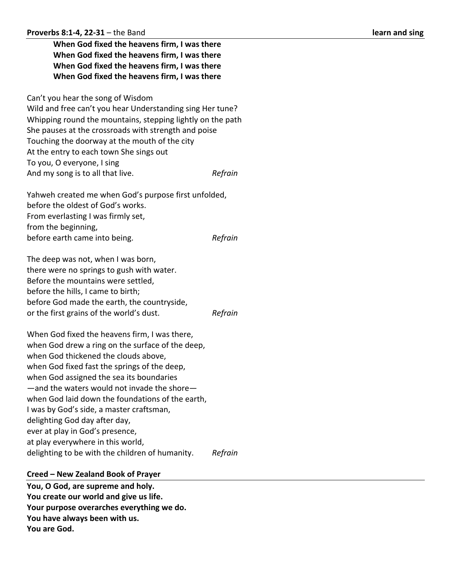| When God fixed the heavens firm, I was there<br>When God fixed the heavens firm, I was there<br>When God fixed the heavens firm, I was there<br>When God fixed the heavens firm, I was there                                                                                                                                                                                                                                                                                                  |         |
|-----------------------------------------------------------------------------------------------------------------------------------------------------------------------------------------------------------------------------------------------------------------------------------------------------------------------------------------------------------------------------------------------------------------------------------------------------------------------------------------------|---------|
| Can't you hear the song of Wisdom<br>Wild and free can't you hear Understanding sing Her tune?<br>Whipping round the mountains, stepping lightly on the path<br>She pauses at the crossroads with strength and poise<br>Touching the doorway at the mouth of the city<br>At the entry to each town She sings out<br>To you, O everyone, I sing<br>And my song is to all that live.                                                                                                            | Refrain |
| Yahweh created me when God's purpose first unfolded,<br>before the oldest of God's works.<br>From everlasting I was firmly set,<br>from the beginning,                                                                                                                                                                                                                                                                                                                                        |         |
| before earth came into being.                                                                                                                                                                                                                                                                                                                                                                                                                                                                 | Refrain |
| The deep was not, when I was born,<br>there were no springs to gush with water.<br>Before the mountains were settled,<br>before the hills, I came to birth;<br>before God made the earth, the countryside,<br>or the first grains of the world's dust.                                                                                                                                                                                                                                        | Refrain |
| When God fixed the heavens firm, I was there,<br>when God drew a ring on the surface of the deep,<br>when God thickened the clouds above,<br>when God fixed fast the springs of the deep,<br>when God assigned the sea its boundaries<br>-and the waters would not invade the shore-<br>when God laid down the foundations of the earth,<br>I was by God's side, a master craftsman,<br>delighting God day after day,<br>ever at play in God's presence,<br>at play everywhere in this world, |         |
| delighting to be with the children of humanity.                                                                                                                                                                                                                                                                                                                                                                                                                                               | Refrain |

# **Creed – New Zealand Book of Prayer**

**You, O God, are supreme and holy. You create our world and give us life. Your purpose overarches everything we do. You have always been with us. You are God.**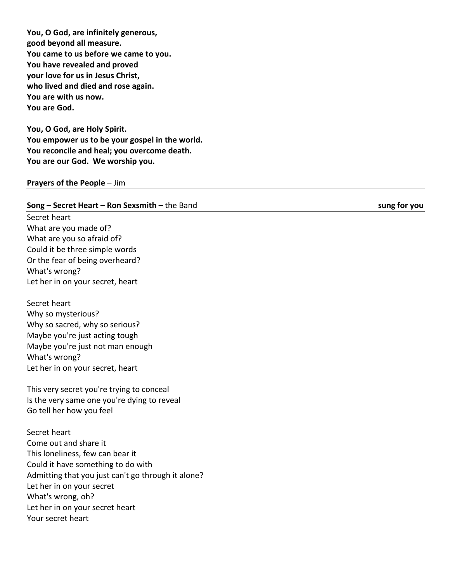**You, O God, are infinitely generous, good beyond all measure. You came to us before we came to you. You have revealed and proved your love for us in Jesus Christ, who lived and died and rose again. You are with us now. You are God.**

**You, O God, are Holy Spirit. You empower us to be your gospel in the world. You reconcile and heal; you overcome death. You are our God. We worship you.**

#### **Prayers of the People - Jim**

#### **Song – Secret Heart – Ron Sexsmith**

Secret heart What are you made of? What are you so afraid of? Could it be three simple words Or the fear of being overheard? What's wrong? Let her in on your secret, heart

Secret heart Why so mysterious? Why so sacred, why so serious? Maybe you're just acting tough Maybe you're just not man enough What's wrong? Let her in on your secret, heart

This very secret you're trying to conceal Is the very same one you're dying to reveal Go tell her how you feel

Secret heart Come out and share it This loneliness, few can bear it Could it have something to do with Admitting that you just can't go through it alone? Let her in on your secret What's wrong, oh? Let her in on your secret heart Your secret heart

sung for you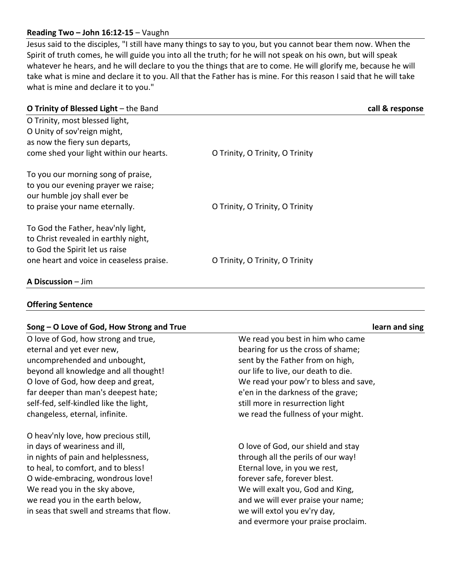## **Reading Two – John 16:12-15** – Vaughn

Jesus said to the disciples, "I still have many things to say to you, but you cannot bear them now. When the Spirit of truth comes, he will guide you into all the truth; for he will not speak on his own, but will speak whatever he hears, and he will declare to you the things that are to come. He will glorify me, because he will take what is mine and declare it to you. All that the Father has is mine. For this reason I said that he will take what is mine and declare it to you."

| O Trinity of Blessed Light - the Band    |                                 | call & response |
|------------------------------------------|---------------------------------|-----------------|
| O Trinity, most blessed light,           |                                 |                 |
| O Unity of sov'reign might,              |                                 |                 |
| as now the fiery sun departs,            |                                 |                 |
| come shed your light within our hearts.  | O Trinity, O Trinity, O Trinity |                 |
| To you our morning song of praise,       |                                 |                 |
| to you our evening prayer we raise;      |                                 |                 |
| our humble joy shall ever be             |                                 |                 |
| to praise your name eternally.           | O Trinity, O Trinity, O Trinity |                 |
| To God the Father, heav'nly light,       |                                 |                 |
| to Christ revealed in earthly night,     |                                 |                 |
| to God the Spirit let us raise           |                                 |                 |
| one heart and voice in ceaseless praise. | O Trinity, O Trinity, O Trinity |                 |
| A Discussion - Jim                       |                                 |                 |

**Offering Sentence**

### **Song – O Love of God, How Strong and True learn and sing**

O love of God, how strong and true, eternal and yet ever new, uncomprehended and unbought, beyond all knowledge and all thought! O love of God, how deep and great, far deeper than man's deepest hate; self-fed, self-kindled like the light, changeless, eternal, infinite.

O heav'nly love, how precious still, in days of weariness and ill, in nights of pain and helplessness, to heal, to comfort, and to bless! O wide-embracing, wondrous love! We read you in the sky above, we read you in the earth below, in seas that swell and streams that flow. We read you best in him who came bearing for us the cross of shame; sent by the Father from on high, our life to live, our death to die. We read your pow'r to bless and save, e'en in the darkness of the grave; still more in resurrection light we read the fullness of your might.

O love of God, our shield and stay through all the perils of our way! Eternal love, in you we rest, forever safe, forever blest. We will exalt you, God and King, and we will ever praise your name; we will extol you ev'ry day, and evermore your praise proclaim.